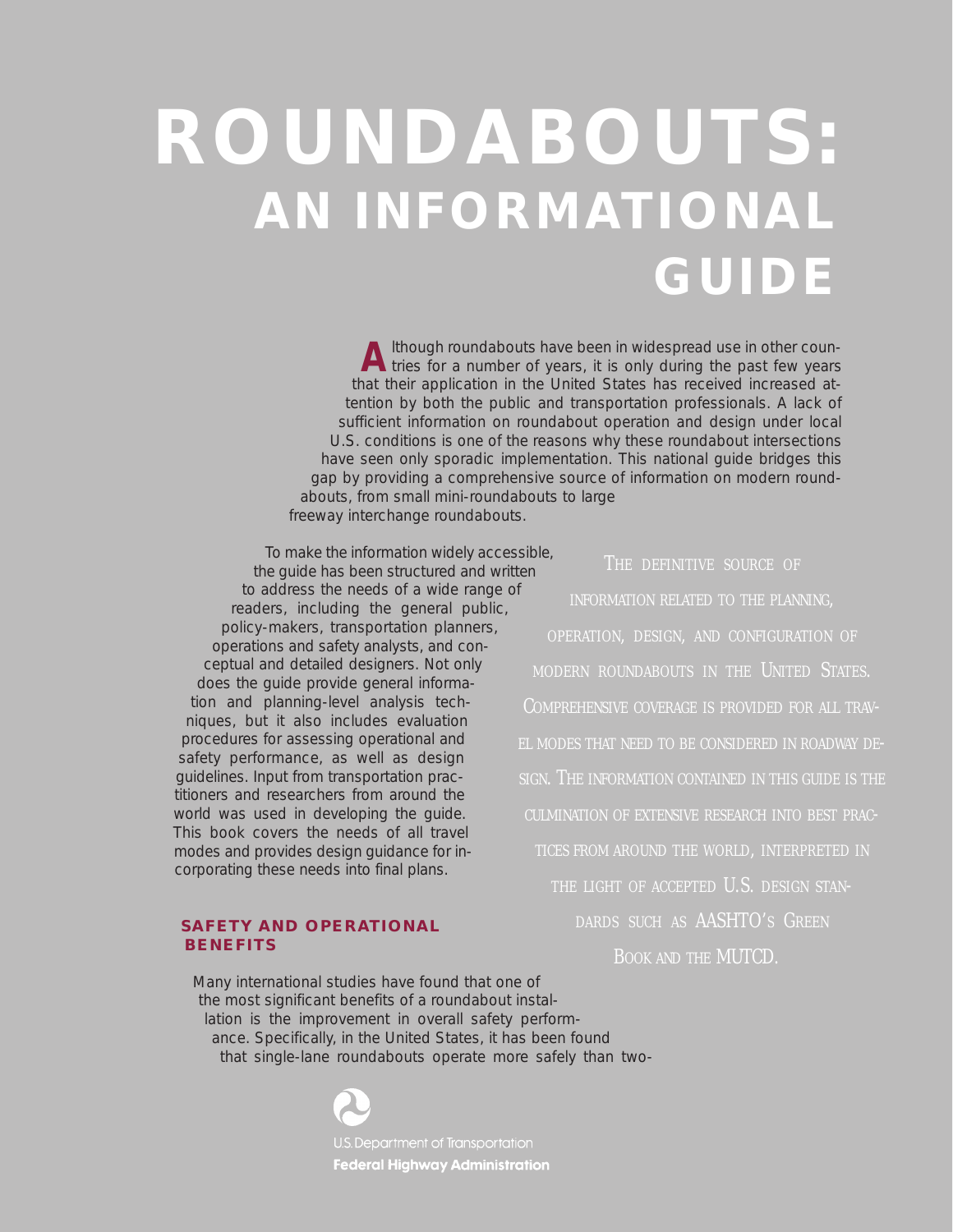# **ROUNDABOUTS: AN INFORMATIONAL GUIDE**

A lthough roundabouts have been in widespread use in other coun-<br> **A** tries for a number of years, it is only during the past few years that their application in the United States has received increased attention by both the public and transportation professionals. A lack of sufficient information on roundabout operation and design under local U.S. conditions is one of the reasons why these roundabout intersections have seen only sporadic implementation. This national guide bridges this gap by providing a comprehensive source of information on modern roundabouts, from small mini-roundabouts to large freeway interchange roundabouts.

To make the information widely accessible, the guide has been structured and written to address the needs of a wide range of readers, including the general public, policy-makers, transportation planners, operations and safety analysts, and conceptual and detailed designers. Not only does the guide provide general information and planning-level analysis techniques, but it also includes evaluation procedures for assessing operational and safety performance, as well as design guidelines. Input from transportation practitioners and researchers from around the world was used in developing the guide. This book covers the needs of all travel modes and provides design guidance for incorporating these needs into final plans.

#### **SAFETY AND OPERATIONAL BENEFITS**

THE DEFINITIVE SOURCE OF INFORMATION RELATED TO THE PLANNING, OPERATION, DESIGN, AND CONFIGURATION OF MODERN ROUNDABOUTS IN THE UNITED STATES. COMPREHENSIVE COVERAGE IS PROVIDED FOR ALL TRAV-EL MODES THAT NEED TO BE CONSIDERED IN ROADWAY DE-SIGN. THE INFORMATION CONTAINED IN THIS GUIDE IS THE CULMINATION OF EXTENSIVE RESEARCH INTO BEST PRAC-TICES FROM AROUND THE WORLD, INTERPRETED IN THE LIGHT OF ACCEPTED U.S. DESIGN STAN-DARDS SUCH AS AASHTO'S GREEN BOOK AND THE MUTCD.

Many international studies have found that one of the most significant benefits of a roundabout installation is the improvement in overall safety performance. Specifically, in the United States, it has been found that single-lane roundabouts operate more safely than two-

**Federal Highway Administration**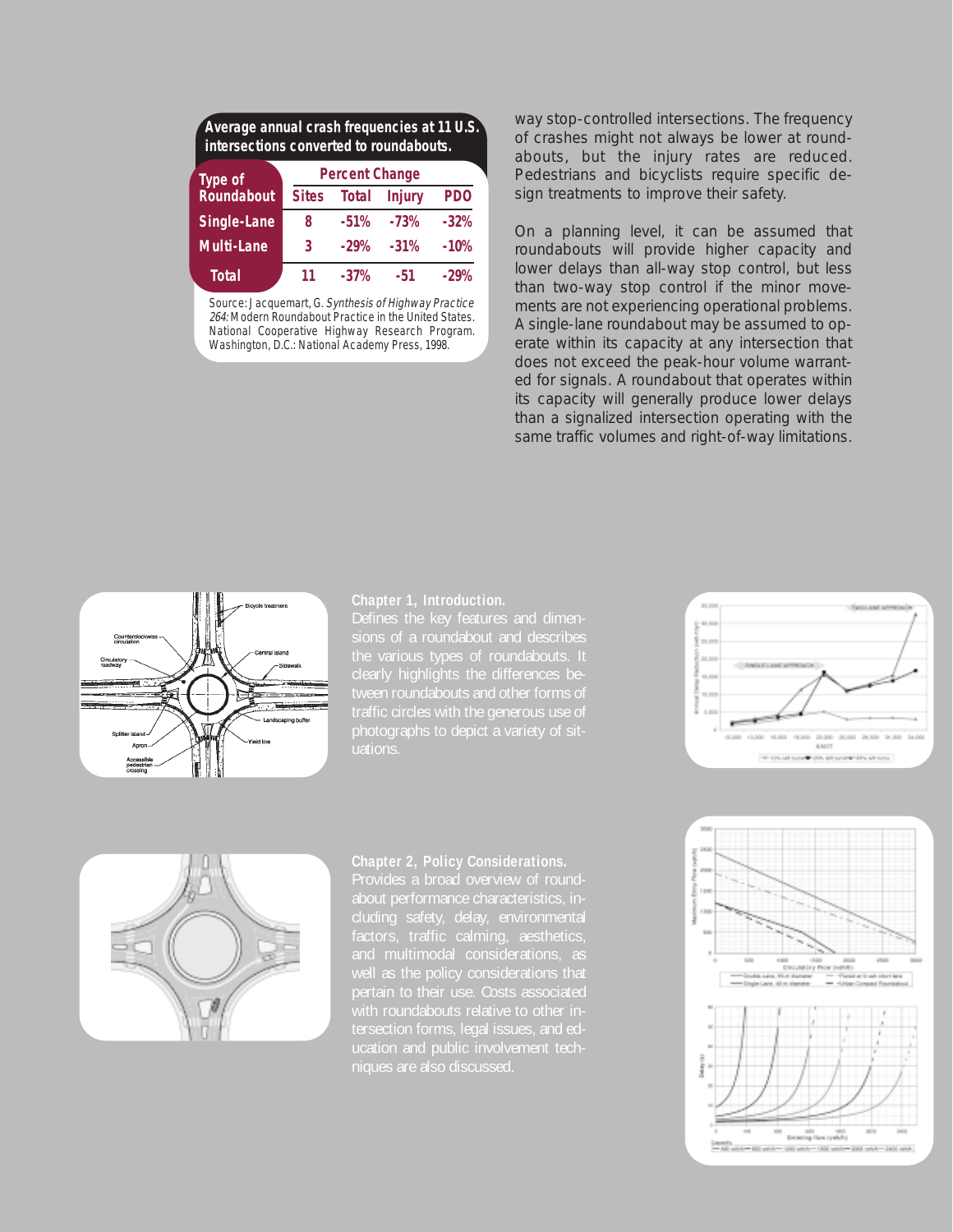| Average annual crash frequencies at 11 U.S.<br>intersections converted to roundabouts. |                       |              |               |            |
|----------------------------------------------------------------------------------------|-----------------------|--------------|---------------|------------|
| <b>Type of</b>                                                                         | <b>Percent Change</b> |              |               |            |
| Roundabout                                                                             | <b>Sites</b>          | <b>Total</b> | <b>Injury</b> | <b>PDO</b> |
| <b>Single-Lane</b>                                                                     | 8                     | $-51%$       | $-73%$        | $-32%$     |
| <b>Multi-Lane</b>                                                                      | 3                     | $-29%$       | $-31%$        | $-10%$     |
| <b>Total</b>                                                                           | 11                    | $-37%$       | -51           | -29%       |

Source: Jacquemart, G. Synthesis of Highway Practice 264: Modern Roundabout Practice in the United States. National Cooperative Highway Research Program. Washington, D.C.: National Academy Press, 1998.

way stop-controlled intersections. The frequency of crashes might not always be lower at roundabouts, but the injury rates are reduced. Pedestrians and bicyclists require specific design treatments to improve their safety.

On a planning level, it can be assumed that roundabouts will provide higher capacity and lower delays than all-way stop control, but less than two-way stop control if the minor movements are not experiencing operational problems. A single-lane roundabout may be assumed to operate within its capacity at any intersection that does not exceed the peak-hour volume warranted for signals. A roundabout that operates within its capacity will generally produce lower delays than a signalized intersection operating with the same traffic volumes and right-of-way limitations.



#### **Chapter 1, Introduction.**

Defines the key features and dimen-





#### **Chapter 2, Policy Considerations.**

about performance characteristics, intersection forms, legal issues, and ed-

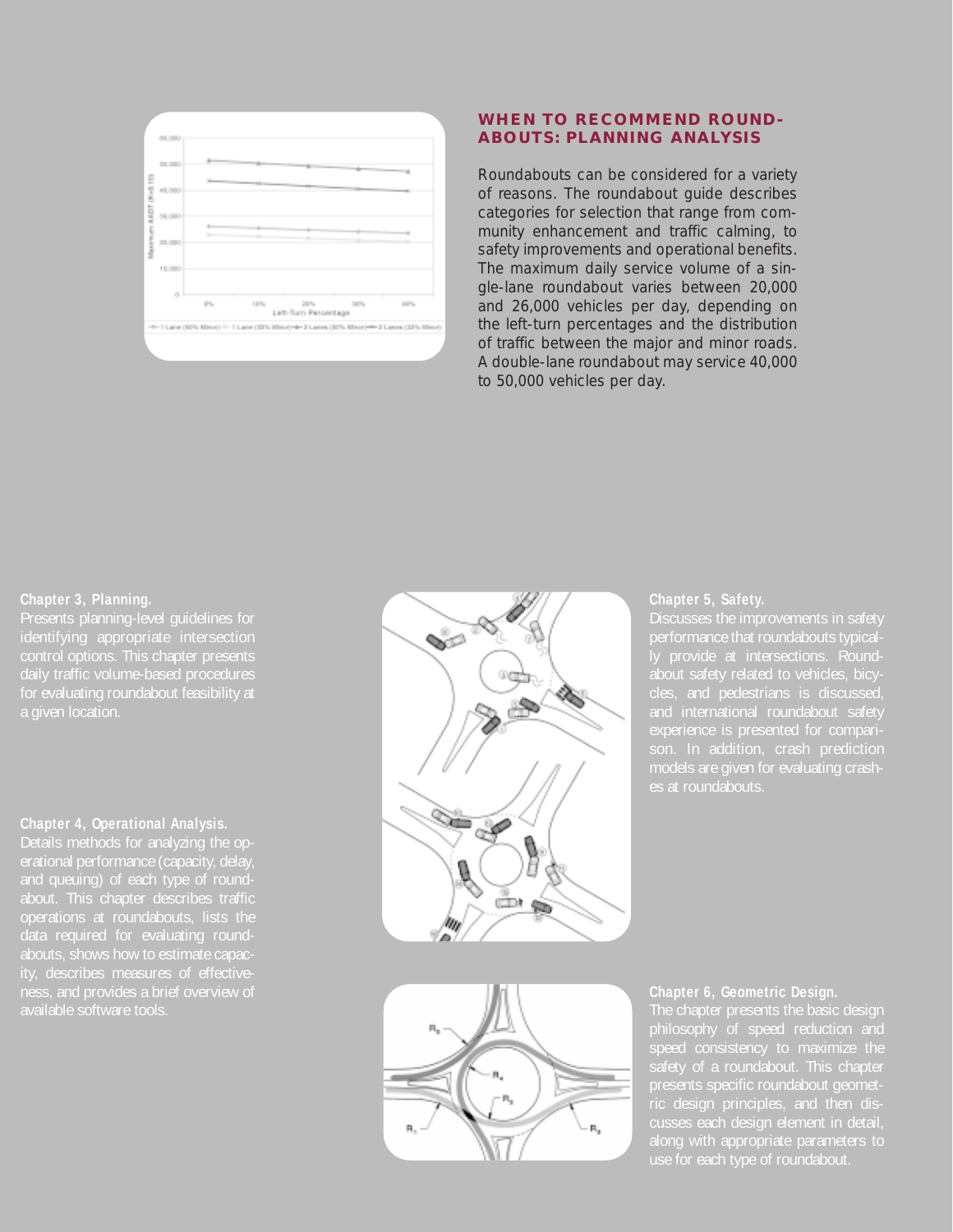

#### **WHEN TO RECOMMEND ROUND-ABOUTS: PLANNING ANALYSIS**

Roundabouts can be considered for a variety of reasons. The roundabout guide describes categories for selection that range from community enhancement and traffic calming, to safety improvements and operational benefits. The maximum daily service volume of a single-lane roundabout varies between 20,000 and 26,000 vehicles per day, depending on the left-turn percentages and the distribution of traffic between the major and minor roads. A double-lane roundabout may service 40,000 to 50,000 vehicles per day.

#### **Chapter 3, Planning.**

a given location.

#### **Chapter 4, Operational Analysis.**

Details methods for analyzing the operational performance (capacity, delay about. This chapter describes traffic



#### **Chapter 5, Safety.**

performance that roundabouts typical-



#### **Chapter 6, Geometric Design.**

philosophy of speed reduction and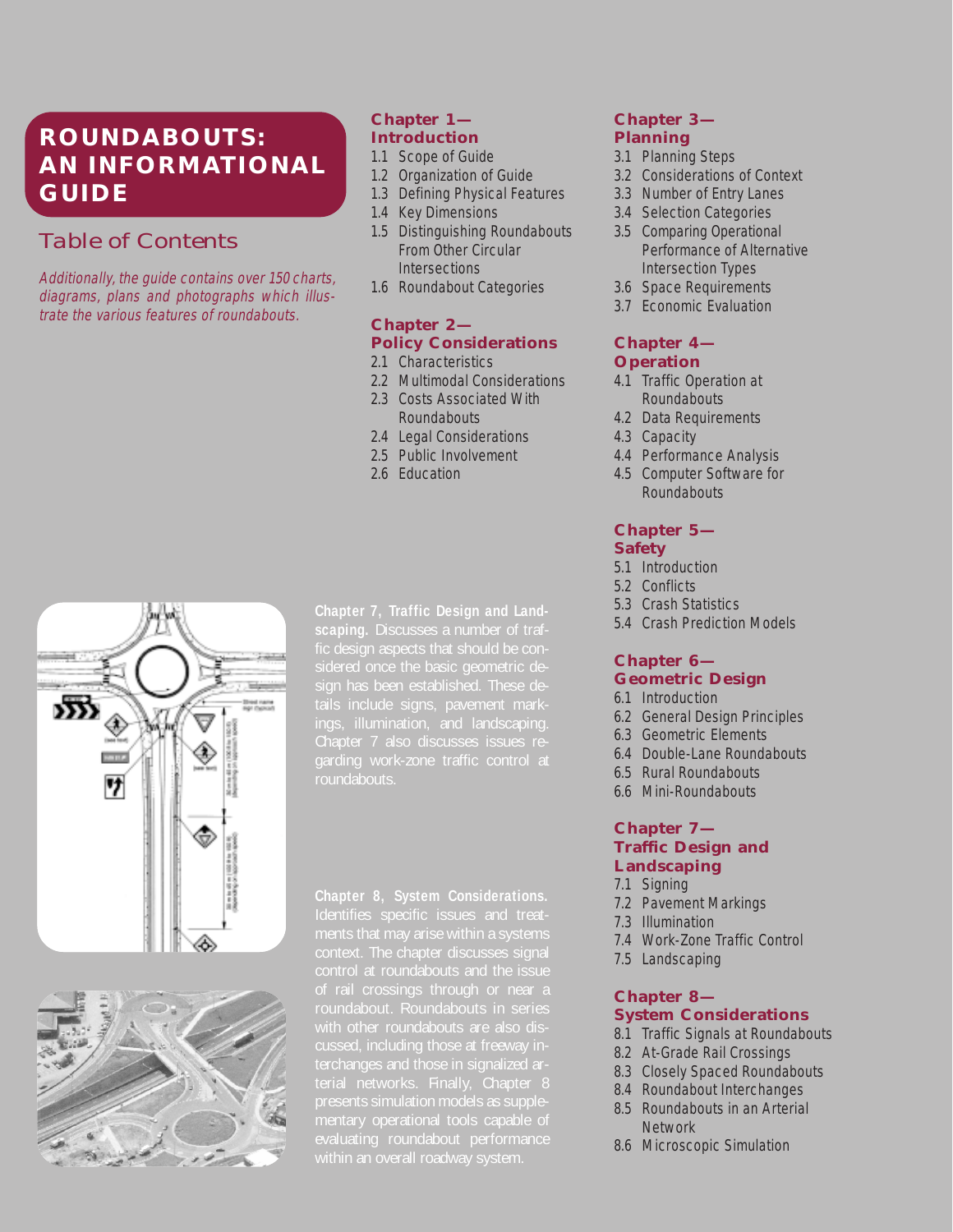## **ROUNDABOUTS: AN INFORMATIONAL GUIDE**

## *Table of Contents*

Additionally, the guide contains over 150 charts, diagrams, plans and photographs which illustrate the various features of roundabouts.

#### **Chapter 1— Introduction**

- 1.1 Scope of Guide
- 1.2 Organization of Guide
- 1.3 Defining Physical Features
- 1.4 Key Dimensions
- 1.5 Distinguishing Roundabouts From Other Circular **Intersections**
- 1.6 Roundabout Categories

## **Chapter 2— Policy Considerations**

2.1 Characteristics

- 2.2 Multimodal Considerations
- 2.3 Costs Associated With Roundabouts
- 2.4 Legal Considerations
- 2.5 Public Involvement
- 2.6 Education





**Chapter 7, Traffic Design and Landscaping.** Discusses a number of trafings, illumination, and landscaping. Chapter 7 also discusses issues re-

**Chapter 8, System Considerations.** of rail crossings through or near a cussed, including those at freeway inpresents simulation models as supple-

#### **Chapter 3— Planning**

- 3.1 Planning Steps
- 3.2 Considerations of Context
- 3.3 Number of Entry Lanes
- 3.4 Selection Categories
- 3.5 Comparing Operational Performance of Alternative Intersection Types
- 3.6 Space Requirements
- 3.7 Economic Evaluation

#### **Chapter 4— Operation**

- 4.1 Traffic Operation at **Roundabouts**
- 4.2 Data Requirements
- 4.3 Capacity
- 4.4 Performance Analysis
- 4.5 Computer Software for **Roundabouts**

#### **Chapter 5— Safety**

- 5.1 Introduction
- 5.2 Conflicts
- 5.3 Crash Statistics
- 5.4 Crash Prediction Models

#### **Chapter 6— Geometric Design**

- 6.1 Introduction
- 6.2 General Design Principles
- 6.3 Geometric Elements
- 6.4 Double-Lane Roundabouts
- 6.5 Rural Roundabouts
- 6.6 Mini-Roundabouts

#### **Chapter 7— Traffic Design and Landscaping**

- 7.1 Signing
- 7.2 Pavement Markings
- 7.3 Illumination
- 7.4 Work-Zone Traffic Control
- 7.5 Landscaping

#### **Chapter 8— System Considerations**

- 8.1 Traffic Signals at Roundabouts
- 8.2 At-Grade Rail Crossings
- 8.3 Closely Spaced Roundabouts
- 8.4 Roundabout Interchanges
- 8.5 Roundabouts in an Arterial **Network**
- 8.6 Microscopic Simulation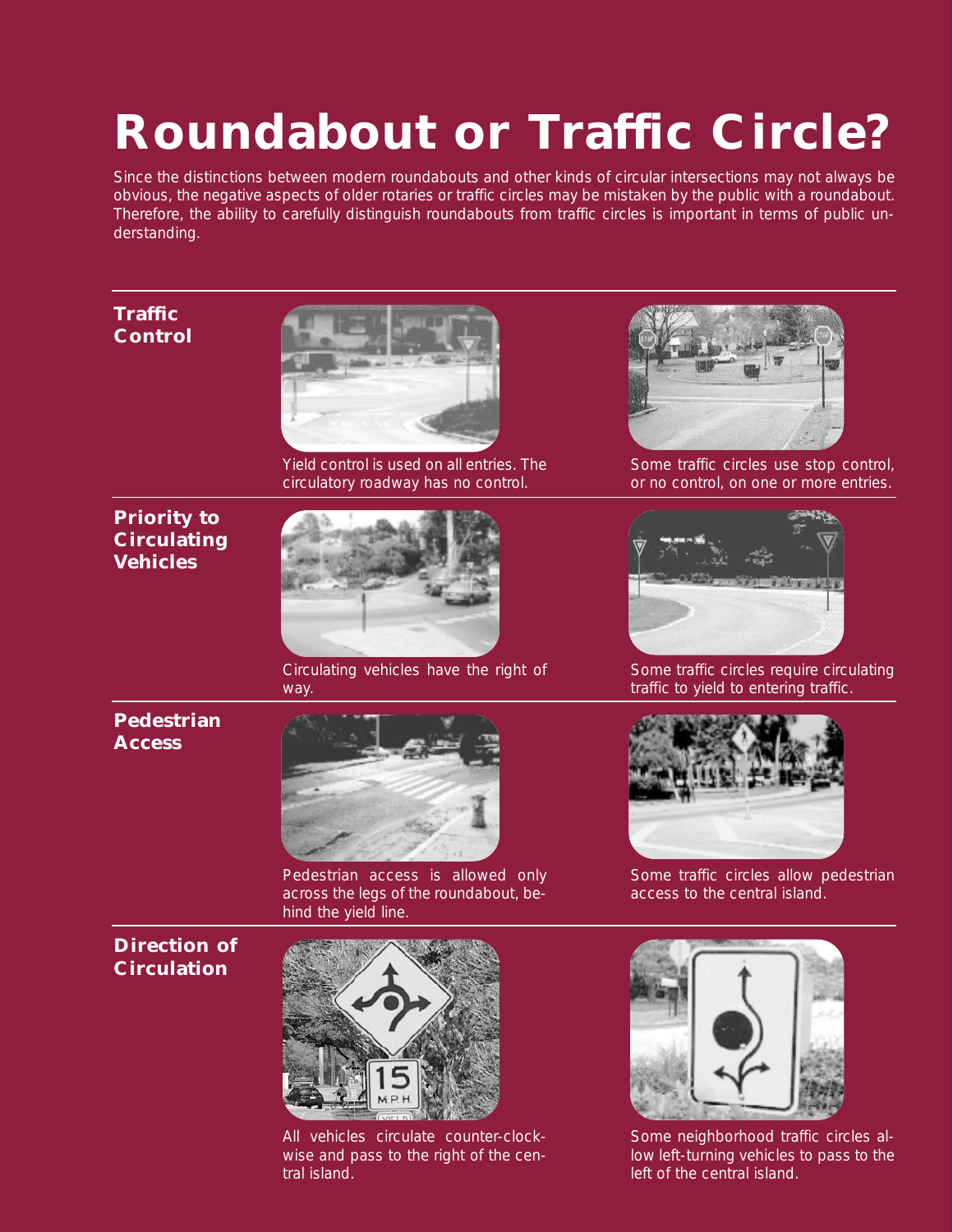## **Roundabout or Traffic Circle?**

Since the distinctions between modern roundabouts and other kinds of circular intersections may not always be obvious, the negative aspects of older rotaries or traffic circles may be mistaken by the public with a roundabout. Therefore, the ability to carefully distinguish roundabouts from traffic circles is important in terms of public understanding.

## **Traffic Control**



Yield control is used on all entries. The circulatory roadway has no control.

## **Priority to Circulating Vehicles**



Circulating vehicles have the right of way.



Some traffic circles use stop control, or no control, on one or more entries.



Some traffic circles require circulating traffic to yield to entering traffic.

## **Pedestrian Access**



Pedestrian access is allowed only across the legs of the roundabout, behind the yield line.

### **Direction of Circulation**



All vehicles circulate counter-clockwise and pass to the right of the central island.



Some traffic circles allow pedestrian access to the central island.



Some neighborhood traffic circles allow left-turning vehicles to pass to the left of the central island.